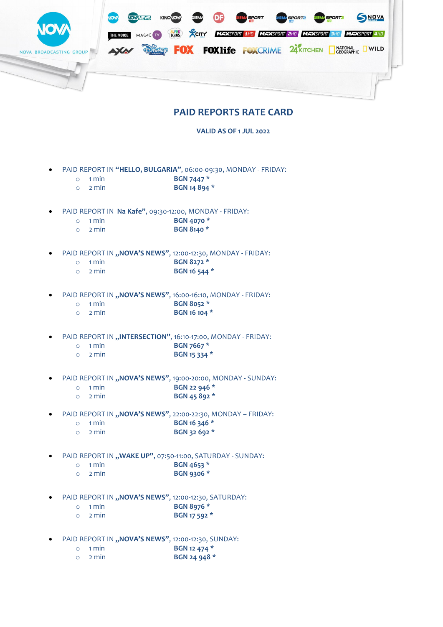

## **PAID REPORTS RATE CARD**

**VALID AS OF 1 JUL 2022**

- PAID REPORT IN **"HELLO, BULGARIA"**, 06:00-09:30, MONDAY FRIDAY:
	- o 1 min **BGN 7447 \***
	- o 2 min **BGN 14 894 \***
- PAID REPORT IN **Na Kafe"**, 09:30-12:00, MONDAY FRIDAY:
	- o 1 min **BGN 4070 \***
	- o 2 min **BGN 8140 \***
- PAID REPORT IN "NOVA'S NEWS", 12:00-12:30, MONDAY FRIDAY:
	- o 1 min **BGN 8272 \***
	- o 2 min **BGN 16 544 \***
- PAID REPORT IN "NOVA'S NEWS", 16:00-16:10, MONDAY FRIDAY:
	- o 1 min **BGN 8052 \***
	- o 2 min **BGN 16 104 \***
- PAID REPORT IN "INTERSECTION", 16:10-17:00, MONDAY FRIDAY:
	- o 1 min **BGN 7667 \***
	- o 2 min **BGN 15 334 \***
- PAID REPORT IN "NOVA'S NEWS", 19:00-20:00, MONDAY SUNDAY:
	- o 1 min **BGN 22 946 \***
	- o 2 min **BGN 45 892 \***
- PAID REPORT IN "NOVA'S NEWS", 22:00-22:30, MONDAY FRIDAY:
	- o 1 min **BGN 16 346 \***
	- o 2 min **BGN 32 692 \***
- PAID REPORT IN "WAKE UP", 07:50-11:00, SATURDAY SUNDAY:
	- o 1 min **BGN 4653 \***
	- o 2 min **BGN 9306 \***
- PAID REPORT IN "NOVA'S NEWS", 12:00-12:30, SATURDAY:
	- o 1 min **BGN 8976 \***
	- o 2 min **BGN 17 592 \***
- PAID REPORT IN "NOVA'S NEWS", 12:00-12:30, SUNDAY:
	- o 1 min **BGN 12 474 \***
	- o 2 min **BGN 24 948 \***